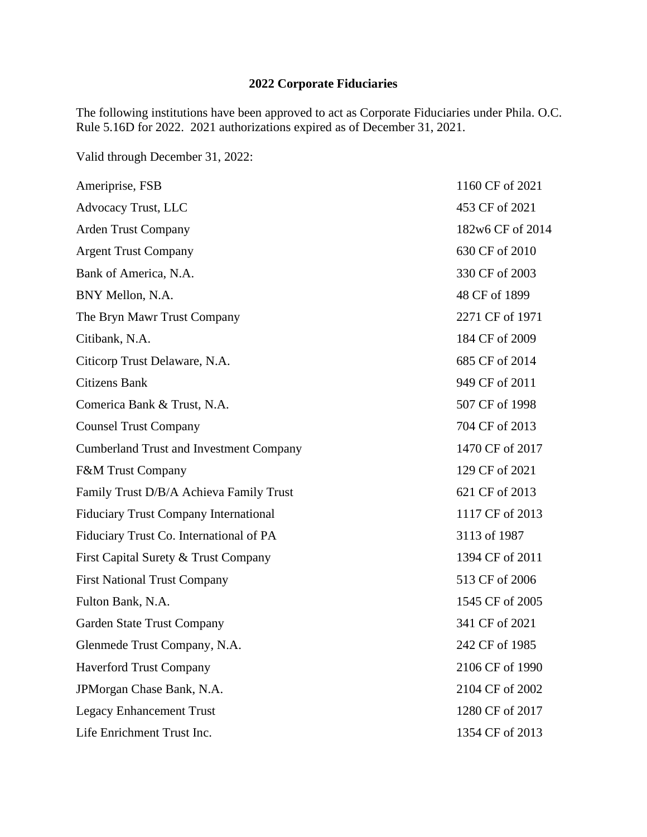## **2022 Corporate Fiduciaries**

The following institutions have been approved to act as Corporate Fiduciaries under Phila. O.C. Rule 5.16D for 2022. 2021 authorizations expired as of December 31, 2021.

Valid through December 31, 2022:

| Ameriprise, FSB                                | 1160 CF of 2021  |
|------------------------------------------------|------------------|
| Advocacy Trust, LLC                            | 453 CF of 2021   |
| <b>Arden Trust Company</b>                     | 182w6 CF of 2014 |
| <b>Argent Trust Company</b>                    | 630 CF of 2010   |
| Bank of America, N.A.                          | 330 CF of 2003   |
| BNY Mellon, N.A.                               | 48 CF of 1899    |
| The Bryn Mawr Trust Company                    | 2271 CF of 1971  |
| Citibank, N.A.                                 | 184 CF of 2009   |
| Citicorp Trust Delaware, N.A.                  | 685 CF of 2014   |
| <b>Citizens Bank</b>                           | 949 CF of 2011   |
| Comerica Bank & Trust, N.A.                    | 507 CF of 1998   |
| <b>Counsel Trust Company</b>                   | 704 CF of 2013   |
| <b>Cumberland Trust and Investment Company</b> | 1470 CF of 2017  |
| <b>F&amp;M Trust Company</b>                   | 129 CF of 2021   |
| Family Trust D/B/A Achieva Family Trust        | 621 CF of 2013   |
| <b>Fiduciary Trust Company International</b>   | 1117 CF of 2013  |
| Fiduciary Trust Co. International of PA        | 3113 of 1987     |
| First Capital Surety & Trust Company           | 1394 CF of 2011  |
| <b>First National Trust Company</b>            | 513 CF of 2006   |
| Fulton Bank, N.A.                              | 1545 CF of 2005  |
| Garden State Trust Company                     | 341 CF of 2021   |
| Glenmede Trust Company, N.A.                   | 242 CF of 1985   |
| <b>Haverford Trust Company</b>                 | 2106 CF of 1990  |
| JPMorgan Chase Bank, N.A.                      | 2104 CF of 2002  |
| <b>Legacy Enhancement Trust</b>                | 1280 CF of 2017  |
| Life Enrichment Trust Inc.                     | 1354 CF of 2013  |